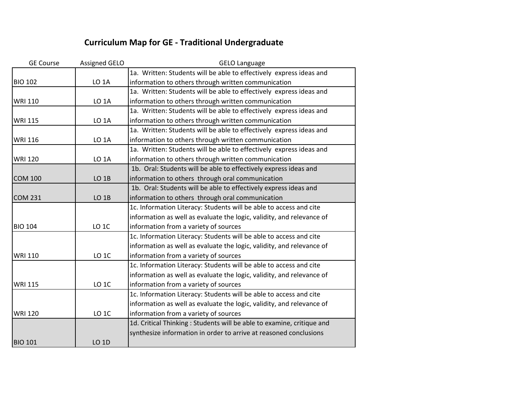## **Curriculum Map for GE - Traditional Undergraduate**

| <b>GE Course</b> | <b>Assigned GELO</b> | <b>GELO Language</b>                                                  |
|------------------|----------------------|-----------------------------------------------------------------------|
|                  |                      | 1a. Written: Students will be able to effectively express ideas and   |
| <b>BIO 102</b>   | LO <sub>1</sub> A    | information to others through written communication                   |
|                  |                      | 1a. Written: Students will be able to effectively express ideas and   |
| <b>WRI 110</b>   | LO <sub>1</sub> A    | information to others through written communication                   |
|                  |                      | 1a. Written: Students will be able to effectively express ideas and   |
| <b>WRI 115</b>   | LO <sub>1</sub> A    | information to others through written communication                   |
|                  |                      | 1a. Written: Students will be able to effectively express ideas and   |
| <b>WRI 116</b>   | LO <sub>1</sub> A    | information to others through written communication                   |
|                  |                      | 1a. Written: Students will be able to effectively express ideas and   |
| <b>WRI 120</b>   | LO <sub>1</sub> A    | information to others through written communication                   |
|                  |                      | 1b. Oral: Students will be able to effectively express ideas and      |
| <b>COM 100</b>   | LO <sub>1B</sub>     | information to others through oral communication                      |
|                  |                      | 1b. Oral: Students will be able to effectively express ideas and      |
| <b>COM 231</b>   | LO <sub>1B</sub>     | information to others through oral communication                      |
|                  |                      | 1c. Information Literacy: Students will be able to access and cite    |
|                  |                      | information as well as evaluate the logic, validity, and relevance of |
| <b>BIO 104</b>   | LO <sub>1C</sub>     | information from a variety of sources                                 |
|                  |                      | 1c. Information Literacy: Students will be able to access and cite    |
|                  |                      | information as well as evaluate the logic, validity, and relevance of |
| <b>WRI 110</b>   | LO <sub>1C</sub>     | information from a variety of sources                                 |
|                  |                      | 1c. Information Literacy: Students will be able to access and cite    |
|                  |                      | information as well as evaluate the logic, validity, and relevance of |
| <b>WRI 115</b>   | LO <sub>1C</sub>     | information from a variety of sources                                 |
|                  |                      | 1c. Information Literacy: Students will be able to access and cite    |
|                  |                      | information as well as evaluate the logic, validity, and relevance of |
| <b>WRI 120</b>   | LO <sub>1C</sub>     | information from a variety of sources                                 |
|                  |                      | 1d. Critical Thinking: Students will be able to examine, critique and |
|                  |                      | synthesize information in order to arrive at reasoned conclusions     |
| <b>BIO 101</b>   | LO 1D                |                                                                       |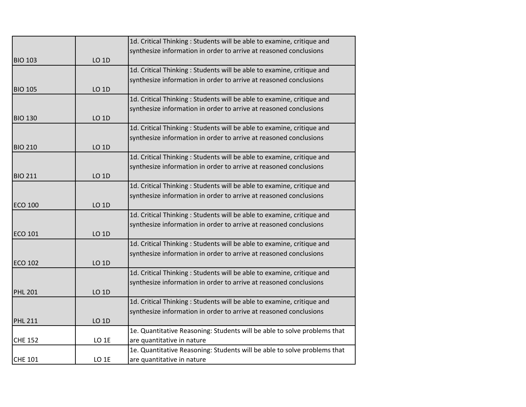|                |                  | 1d. Critical Thinking: Students will be able to examine, critique and    |
|----------------|------------------|--------------------------------------------------------------------------|
|                |                  | synthesize information in order to arrive at reasoned conclusions        |
| <b>BIO 103</b> | <b>LO 1D</b>     |                                                                          |
|                |                  | 1d. Critical Thinking: Students will be able to examine, critique and    |
|                |                  | synthesize information in order to arrive at reasoned conclusions        |
| <b>BIO 105</b> | LO 1D            |                                                                          |
|                |                  | 1d. Critical Thinking: Students will be able to examine, critique and    |
|                |                  | synthesize information in order to arrive at reasoned conclusions        |
| <b>BIO 130</b> | LO 1D            |                                                                          |
|                |                  | 1d. Critical Thinking: Students will be able to examine, critique and    |
|                |                  | synthesize information in order to arrive at reasoned conclusions        |
| <b>BIO 210</b> | <b>LO 1D</b>     |                                                                          |
|                |                  | 1d. Critical Thinking: Students will be able to examine, critique and    |
|                |                  | synthesize information in order to arrive at reasoned conclusions        |
| <b>BIO 211</b> | <b>LO 1D</b>     |                                                                          |
|                |                  | 1d. Critical Thinking: Students will be able to examine, critique and    |
|                |                  | synthesize information in order to arrive at reasoned conclusions        |
| <b>ECO 100</b> | <b>LO 1D</b>     |                                                                          |
|                |                  | 1d. Critical Thinking: Students will be able to examine, critique and    |
|                |                  | synthesize information in order to arrive at reasoned conclusions        |
| ECO 101        | LO 1D            |                                                                          |
|                |                  | 1d. Critical Thinking: Students will be able to examine, critique and    |
|                |                  | synthesize information in order to arrive at reasoned conclusions        |
| <b>ECO 102</b> | <b>LO 1D</b>     |                                                                          |
|                |                  | 1d. Critical Thinking: Students will be able to examine, critique and    |
|                |                  | synthesize information in order to arrive at reasoned conclusions        |
| <b>PHL 201</b> | <b>LO 1D</b>     |                                                                          |
|                |                  | 1d. Critical Thinking: Students will be able to examine, critique and    |
|                |                  | synthesize information in order to arrive at reasoned conclusions        |
| <b>PHL 211</b> | <b>LO 1D</b>     |                                                                          |
|                |                  | 1e. Quantitative Reasoning: Students will be able to solve problems that |
| <b>CHE 152</b> | LO <sub>1E</sub> | are quantitative in nature                                               |
|                |                  | 1e. Quantitative Reasoning: Students will be able to solve problems that |
| <b>CHE 101</b> | LO <sub>1E</sub> | are quantitative in nature                                               |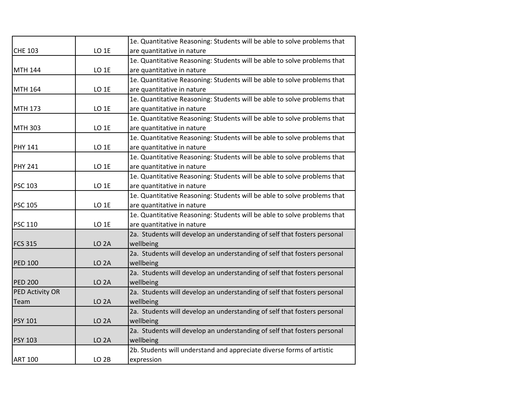|                 |                   | 1e. Quantitative Reasoning: Students will be able to solve problems that |
|-----------------|-------------------|--------------------------------------------------------------------------|
| <b>CHE 103</b>  | LO <sub>1E</sub>  | are quantitative in nature                                               |
|                 |                   | 1e. Quantitative Reasoning: Students will be able to solve problems that |
| <b>MTH 144</b>  | LO <sub>1E</sub>  | are quantitative in nature                                               |
|                 |                   | 1e. Quantitative Reasoning: Students will be able to solve problems that |
| <b>MTH 164</b>  | LO <sub>1E</sub>  | are quantitative in nature                                               |
|                 |                   | 1e. Quantitative Reasoning: Students will be able to solve problems that |
| <b>MTH 173</b>  | LO <sub>1E</sub>  | are quantitative in nature                                               |
|                 |                   | 1e. Quantitative Reasoning: Students will be able to solve problems that |
| <b>MTH 303</b>  | LO <sub>1E</sub>  | are quantitative in nature                                               |
|                 |                   | 1e. Quantitative Reasoning: Students will be able to solve problems that |
| <b>PHY 141</b>  | LO <sub>1E</sub>  | are quantitative in nature                                               |
|                 |                   | 1e. Quantitative Reasoning: Students will be able to solve problems that |
| <b>PHY 241</b>  | LO <sub>1E</sub>  | are quantitative in nature                                               |
|                 |                   | 1e. Quantitative Reasoning: Students will be able to solve problems that |
| <b>PSC 103</b>  | LO <sub>1E</sub>  | are quantitative in nature                                               |
|                 |                   | 1e. Quantitative Reasoning: Students will be able to solve problems that |
| <b>PSC 105</b>  | LO <sub>1E</sub>  | are quantitative in nature                                               |
|                 |                   | 1e. Quantitative Reasoning: Students will be able to solve problems that |
| <b>PSC 110</b>  | LO <sub>1E</sub>  | are quantitative in nature                                               |
|                 |                   | 2a. Students will develop an understanding of self that fosters personal |
| <b>FCS 315</b>  | LO <sub>2</sub> A | wellbeing                                                                |
|                 |                   | 2a. Students will develop an understanding of self that fosters personal |
| <b>PED 100</b>  | LO <sub>2</sub> A | wellbeing                                                                |
|                 |                   | 2a. Students will develop an understanding of self that fosters personal |
| <b>PED 200</b>  | LO <sub>2</sub> A | wellbeing                                                                |
| PED Activity OR |                   | 2a. Students will develop an understanding of self that fosters personal |
| Team            | LO <sub>2</sub> A | wellbeing                                                                |
|                 |                   | 2a. Students will develop an understanding of self that fosters personal |
| <b>PSY 101</b>  | LO <sub>2</sub> A | wellbeing                                                                |
|                 |                   | 2a. Students will develop an understanding of self that fosters personal |
| <b>PSY 103</b>  | LO <sub>2</sub> A | wellbeing                                                                |
|                 |                   | 2b. Students will understand and appreciate diverse forms of artistic    |
| <b>ART 100</b>  | LO <sub>2B</sub>  | expression                                                               |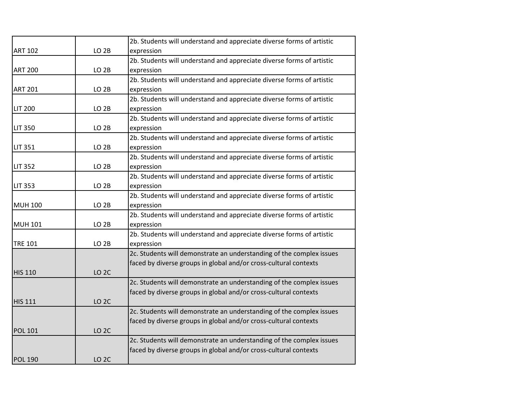|                |                  | 2b. Students will understand and appreciate diverse forms of artistic |
|----------------|------------------|-----------------------------------------------------------------------|
| <b>ART 102</b> | LO <sub>2B</sub> | expression                                                            |
|                |                  | 2b. Students will understand and appreciate diverse forms of artistic |
| <b>ART 200</b> | LO <sub>2B</sub> | expression                                                            |
|                |                  | 2b. Students will understand and appreciate diverse forms of artistic |
| <b>ART 201</b> | LO <sub>2B</sub> | expression                                                            |
|                |                  | 2b. Students will understand and appreciate diverse forms of artistic |
| <b>LIT 200</b> | LO <sub>2B</sub> | expression                                                            |
|                |                  | 2b. Students will understand and appreciate diverse forms of artistic |
| <b>LIT 350</b> | LO <sub>2B</sub> | expression                                                            |
|                |                  | 2b. Students will understand and appreciate diverse forms of artistic |
| <b>LIT 351</b> | LO <sub>2B</sub> | expression                                                            |
|                |                  | 2b. Students will understand and appreciate diverse forms of artistic |
| <b>LIT 352</b> | LO <sub>2B</sub> | expression                                                            |
|                |                  | 2b. Students will understand and appreciate diverse forms of artistic |
| <b>LIT 353</b> | LO <sub>2B</sub> | expression                                                            |
|                |                  | 2b. Students will understand and appreciate diverse forms of artistic |
| <b>MUH 100</b> | LO <sub>2B</sub> | expression                                                            |
|                |                  | 2b. Students will understand and appreciate diverse forms of artistic |
| <b>MUH 101</b> | LO <sub>2B</sub> | expression                                                            |
|                |                  | 2b. Students will understand and appreciate diverse forms of artistic |
| <b>TRE 101</b> | LO <sub>2B</sub> | expression                                                            |
|                |                  | 2c. Students will demonstrate an understanding of the complex issues  |
|                |                  | faced by diverse groups in global and/or cross-cultural contexts      |
| <b>HIS 110</b> | LO <sub>2C</sub> |                                                                       |
|                |                  | 2c. Students will demonstrate an understanding of the complex issues  |
|                |                  | faced by diverse groups in global and/or cross-cultural contexts      |
| <b>HIS 111</b> | LO <sub>2C</sub> |                                                                       |
|                |                  | 2c. Students will demonstrate an understanding of the complex issues  |
|                |                  | faced by diverse groups in global and/or cross-cultural contexts      |
| <b>POL 101</b> | LO <sub>2C</sub> |                                                                       |
|                |                  | 2c. Students will demonstrate an understanding of the complex issues  |
|                |                  | faced by diverse groups in global and/or cross-cultural contexts      |
| <b>POL 190</b> | LO <sub>2C</sub> |                                                                       |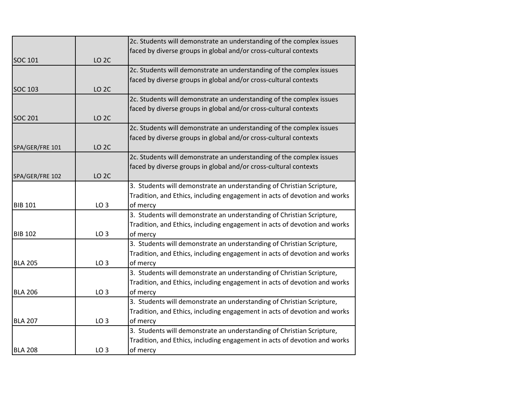|                 |                  | 2c. Students will demonstrate an understanding of the complex issues      |
|-----------------|------------------|---------------------------------------------------------------------------|
|                 |                  | faced by diverse groups in global and/or cross-cultural contexts          |
| <b>SOC 101</b>  | LO <sub>2C</sub> |                                                                           |
|                 |                  | 2c. Students will demonstrate an understanding of the complex issues      |
|                 |                  | faced by diverse groups in global and/or cross-cultural contexts          |
| <b>SOC 103</b>  | LO <sub>2C</sub> |                                                                           |
|                 |                  | 2c. Students will demonstrate an understanding of the complex issues      |
|                 |                  | faced by diverse groups in global and/or cross-cultural contexts          |
| <b>SOC 201</b>  | LO <sub>2C</sub> |                                                                           |
|                 |                  | 2c. Students will demonstrate an understanding of the complex issues      |
|                 |                  | faced by diverse groups in global and/or cross-cultural contexts          |
| SPA/GER/FRE 101 | LO <sub>2C</sub> |                                                                           |
|                 |                  | 2c. Students will demonstrate an understanding of the complex issues      |
|                 |                  | faced by diverse groups in global and/or cross-cultural contexts          |
| SPA/GER/FRE 102 | LO <sub>2C</sub> |                                                                           |
|                 |                  | 3. Students will demonstrate an understanding of Christian Scripture,     |
|                 |                  | Tradition, and Ethics, including engagement in acts of devotion and works |
| <b>BIB 101</b>  | LO <sub>3</sub>  | of mercy                                                                  |
|                 |                  | 3. Students will demonstrate an understanding of Christian Scripture,     |
|                 |                  | Tradition, and Ethics, including engagement in acts of devotion and works |
| <b>BIB 102</b>  | LO <sub>3</sub>  | of mercy                                                                  |
|                 |                  | 3. Students will demonstrate an understanding of Christian Scripture,     |
|                 |                  | Tradition, and Ethics, including engagement in acts of devotion and works |
| <b>BLA 205</b>  | LO <sub>3</sub>  | of mercy                                                                  |
|                 |                  | 3. Students will demonstrate an understanding of Christian Scripture,     |
|                 |                  | Tradition, and Ethics, including engagement in acts of devotion and works |
| <b>BLA 206</b>  | LO <sub>3</sub>  | of mercy                                                                  |
|                 |                  | 3. Students will demonstrate an understanding of Christian Scripture,     |
|                 |                  | Tradition, and Ethics, including engagement in acts of devotion and works |
| <b>BLA 207</b>  | LO <sub>3</sub>  | of mercy                                                                  |
|                 |                  | 3. Students will demonstrate an understanding of Christian Scripture,     |
|                 |                  | Tradition, and Ethics, including engagement in acts of devotion and works |
| <b>BLA 208</b>  | LO <sub>3</sub>  | of mercy                                                                  |